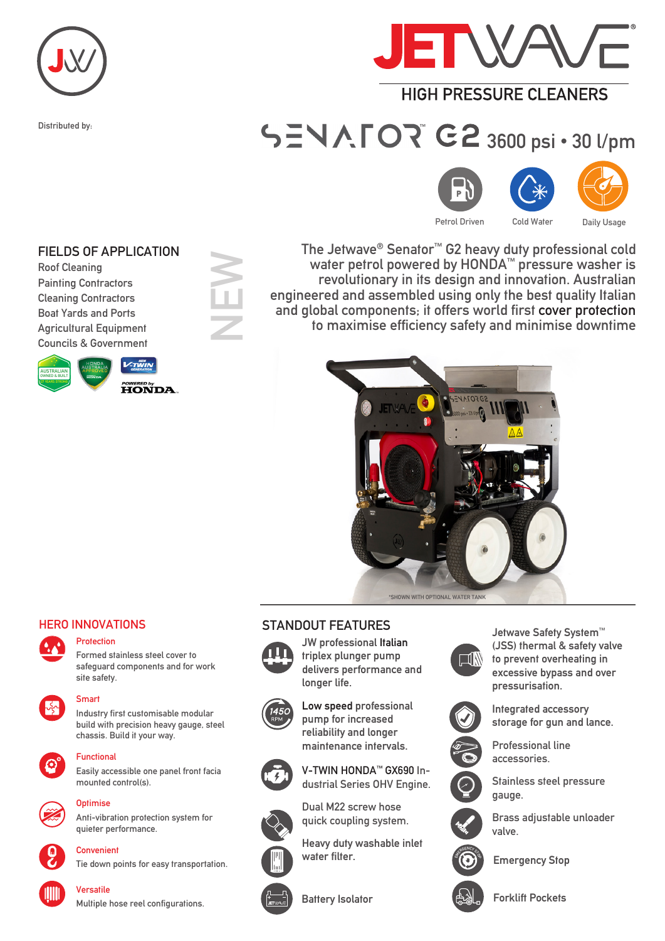

Distributed by:



# **HIGH PRESSURE CI FANERS**

# $\mathbb{T}$   $\mathbf{C2}$  3600 psi • 30 l/pm







Petrol Driven Cold Water Daily Usage

The Jetwave® Senator™ G2 heavy duty professional cold water petrol powered by HONDA™ pressure washer is revolutionary in its design and innovation. Australian engineered and assembled using only the best quality Italian and global components; it offers world first cover protection to maximise efficiency safety and minimise downtime





## HERO INNOVATIONS



Protection

Formed stainless steel cover to safeguard components and for work site safety.



# Smart

Industry first customisable modular build with precision heavy gauge, steel chassis. Build it your way.



#### **Functional**

Easily accessible one panel front facia mounted control(s).



## Ontimise

**Convenient** 

Anti-vibration protection system for quieter performance.



Tie down points for easy transportation.



## Versatile

Multiple hose reel configurations.

## STANDOUT FEATURES



JW professional Italian triplex plunger pump delivers performance and longer life.

Low speed professional pump for increased reliability and longer maintenance intervals.



V-TWIN HONDA™ GX690 Industrial Series OHV Engine.



Heavy duty washable inlet water filter.





Jetwave Safety System™ (JSS) thermal & safety valve to prevent overheating in excessive bypass and over pressurisation.



Integrated accessory storage for gun and lance.



Professional line accessories.

Stainless steel pressure gauge.



Brass adjustable unloader valve.



Emergency Stop



Battery Isolator **Forklift Pockets** 



Boat Yards and Ports Agricultural Equipment

Roof Cleaning

Councils & Government